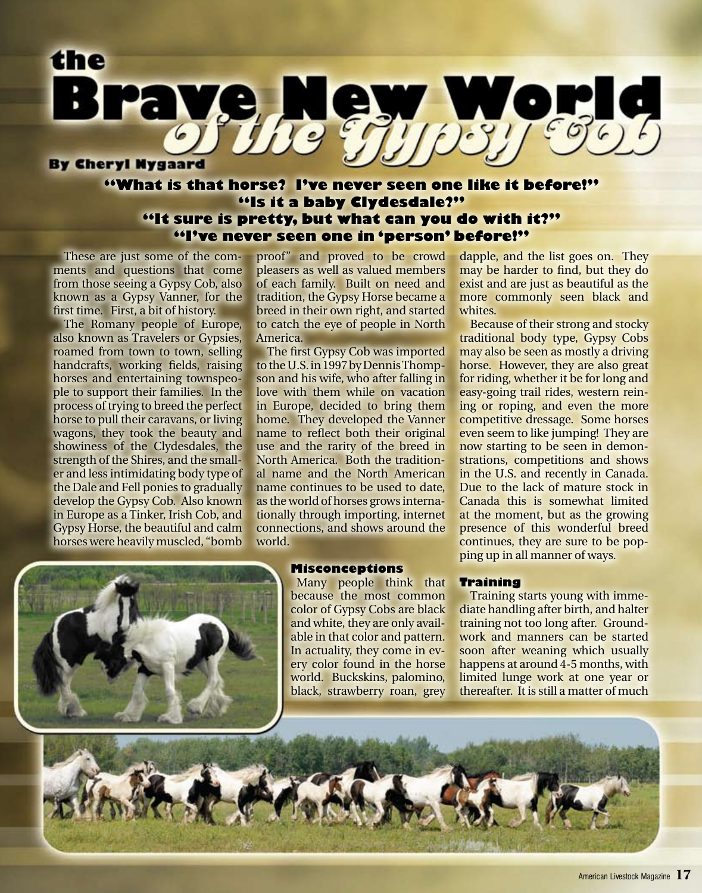

# **"What is that horse? I've never seen one like it before!" "Is it a baby Clydesdale?" "It sure is pretty, but what can you do with it?" "I've never seen one in 'person' before!"**

 These are just some of the comments and questions that come from those seeing a Gypsy Cob, also known as a Gypsy Vanner, for the first time. First, a bit of history.

 The Romany people of Europe, also known as Travelers or Gypsies, roamed from town to town, selling handcrafts, working fields, raising horses and entertaining townspeople to support their families. In the process of trying to breed the perfect horse to pull their caravans, or living wagons, they took the beauty and showiness of the Clydesdales, the strength of the Shires, and the smaller and less intimidating body type of the Dale and Fell ponies to gradually develop the Gypsy Cob. Also known in Europe as a Tinker, Irish Cob, and Gypsy Horse, the beautiful and calm horses were heavily muscled, "bomb

proof" and proved to be crowd pleasers as well as valued members of each family. Built on need and tradition, the Gypsy Horse became a breed in their own right, and started to catch the eye of people in North America.

 The first Gypsy Cob was imported to the U.S. in 1997 by Dennis Thompson and his wife, who after falling in love with them while on vacation in Europe, decided to bring them home. They developed the Vanner name to reflect both their original use and the rarity of the breed in North America. Both the traditional name and the North American name continues to be used to date, as the world of horses grows internationally through importing, internet connections, and shows around the world.

dapple, and the list goes on. They may be harder to find, but they do exist and are just as beautiful as the more commonly seen black and whites

 Because of their strong and stocky traditional body type, Gypsy Cobs may also be seen as mostly a driving horse. However, they are also great for riding, whether it be for long and easy-going trail rides, western reining or roping, and even the more competitive dressage. Some horses even seem to like jumping! They are now starting to be seen in demonstrations, competitions and shows in the U.S. and recently in Canada. Due to the lack of mature stock in Canada this is somewhat limited at the moment, but as the growing presence of this wonderful breed continues, they are sure to be popping up in all manner of ways.



# **Misconceptions**

Many people think that because the most common color of Gypsy Cobs are black and white, they are only available in that color and pattern. In actuality, they come in every color found in the horse world. Buckskins, palomino, black, strawberry roan, grey **Training**

 Training starts young with immediate handling after birth, and halter training not too long after. Groundwork and manners can be started soon after weaning which usually happens at around 4-5 months, with limited lunge work at one year or thereafter. It is still a matter of much